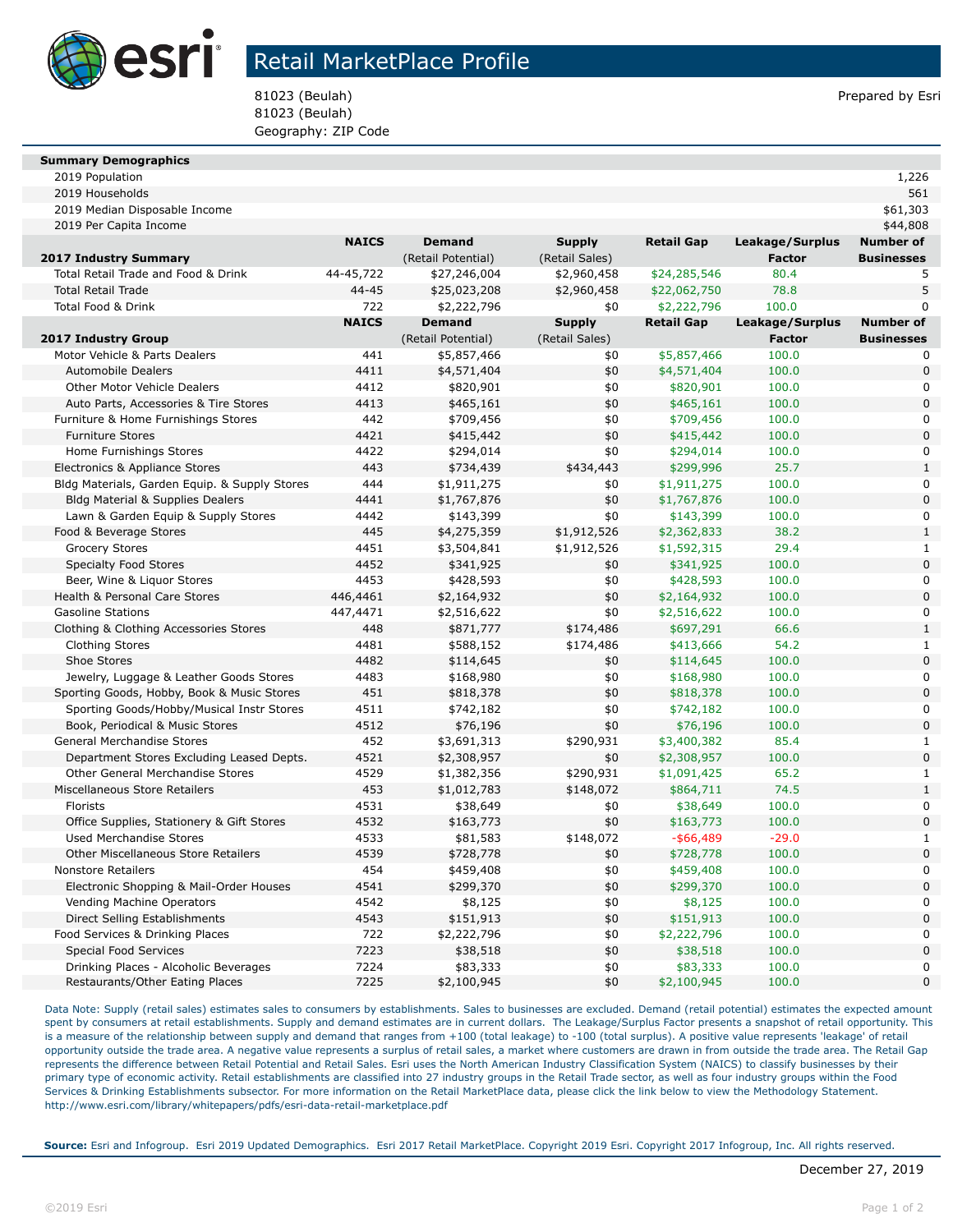

## Retail MarketPlace Profile

81023 (Beulah) Prepared by Esri 81023 (Beulah) Geography: ZIP Code

#### **Summary Demographics**

| 2019<br>Population<br>the contract of the contract of the contract of | つつん |
|-----------------------------------------------------------------------|-----|
|-----------------------------------------------------------------------|-----|

| 2019 Households                               |              |                    |                |                   |                 | 561                        |
|-----------------------------------------------|--------------|--------------------|----------------|-------------------|-----------------|----------------------------|
| 2019 Median Disposable Income                 |              |                    |                |                   |                 | \$61,303                   |
| 2019 Per Capita Income                        |              |                    |                |                   |                 | \$44,808                   |
|                                               | <b>NAICS</b> | <b>Demand</b>      | <b>Supply</b>  | <b>Retail Gap</b> | Leakage/Surplus | <b>Number of</b>           |
| <b>2017 Industry Summary</b>                  |              | (Retail Potential) | (Retail Sales) |                   | <b>Factor</b>   | <b>Businesses</b>          |
| Total Retail Trade and Food & Drink           | 44-45,722    | \$27,246,004       | \$2,960,458    | \$24,285,546      | 80.4            | 5                          |
| <b>Total Retail Trade</b>                     | 44-45        | \$25,023,208       | \$2,960,458    | \$22,062,750      | 78.8            | 5                          |
| Total Food & Drink                            | 722          | \$2,222,796        | \$0            | \$2,222,796       | 100.0           | $\Omega$                   |
|                                               | <b>NAICS</b> | <b>Demand</b>      | <b>Supply</b>  | <b>Retail Gap</b> | Leakage/Surplus | <b>Number of</b>           |
| <b>2017 Industry Group</b>                    |              | (Retail Potential) | (Retail Sales) |                   | <b>Factor</b>   | <b>Businesses</b>          |
| Motor Vehicle & Parts Dealers                 | 441          | \$5,857,466        | \$0            | \$5,857,466       | 100.0           | 0                          |
| <b>Automobile Dealers</b>                     | 4411         | \$4,571,404        | \$0            | \$4,571,404       | 100.0           | $\mathbf 0$                |
| <b>Other Motor Vehicle Dealers</b>            | 4412         | \$820,901          | \$0            | \$820,901         | 100.0           | $\mathbf 0$                |
| Auto Parts, Accessories & Tire Stores         | 4413         | \$465,161          | \$0            | \$465,161         | 100.0           | $\mathbf 0$                |
| Furniture & Home Furnishings Stores           | 442          | \$709,456          | \$0            | \$709,456         | 100.0           | $\mathbf 0$                |
| <b>Furniture Stores</b>                       | 4421         | \$415,442          | \$0            | \$415,442         | 100.0           | $\mathbf 0$                |
| Home Furnishings Stores                       | 4422         | \$294,014          | \$0            | \$294,014         | 100.0           | $\mathbf 0$                |
| Electronics & Appliance Stores                | 443          | \$734,439          | \$434,443      | \$299,996         | 25.7            | $\mathbf{1}$               |
| Bldg Materials, Garden Equip. & Supply Stores | 444          | \$1,911,275        | \$0            | \$1,911,275       | 100.0           | $\mathbf 0$                |
| <b>Bldg Material &amp; Supplies Dealers</b>   | 4441         | \$1,767,876        | \$0            | \$1,767,876       | 100.0           | $\mathbf 0$                |
| Lawn & Garden Equip & Supply Stores           | 4442         | \$143,399          | \$0            | \$143,399         | 100.0           | $\mathbf 0$                |
| Food & Beverage Stores                        | 445          | \$4,275,359        | \$1,912,526    | \$2,362,833       | 38.2            | $\mathbf{1}$               |
| <b>Grocery Stores</b>                         | 4451         | \$3,504,841        | \$1,912,526    | \$1,592,315       | 29.4            | 1                          |
| Specialty Food Stores                         | 4452         | \$341,925          | \$0            | \$341,925         | 100.0           | $\mathbf 0$                |
| Beer, Wine & Liquor Stores                    | 4453         | \$428,593          | \$0            | \$428,593         | 100.0           | 0                          |
| Health & Personal Care Stores                 | 446,4461     | \$2,164,932        | \$0            | \$2,164,932       | 100.0           | $\mathbf 0$                |
| <b>Gasoline Stations</b>                      | 447,4471     | \$2,516,622        | \$0            | \$2,516,622       | 100.0           | $\mathbf 0$                |
| Clothing & Clothing Accessories Stores        | 448          | \$871,777          | \$174,486      | \$697,291         | 66.6            | $\mathbf{1}$               |
| <b>Clothing Stores</b>                        | 4481         | \$588,152          | \$174,486      | \$413,666         | 54.2            | $\mathbf 1$                |
| Shoe Stores                                   | 4482         | \$114,645          | \$0            | \$114,645         | 100.0           | $\mathbf 0$                |
| Jewelry, Luggage & Leather Goods Stores       | 4483         | \$168,980          | \$0            | \$168,980         | 100.0           | 0                          |
| Sporting Goods, Hobby, Book & Music Stores    | 451          | \$818,378          | \$0            | \$818,378         | 100.0           | $\mathbf 0$                |
| Sporting Goods/Hobby/Musical Instr Stores     | 4511         | \$742,182          | \$0            | \$742,182         | 100.0           | 0                          |
| Book, Periodical & Music Stores               | 4512         | \$76,196           | \$0            | \$76,196          | 100.0           | $\mathbf 0$                |
| General Merchandise Stores                    | 452          | \$3,691,313        | \$290,931      | \$3,400,382       | 85.4            | $\mathbf{1}$               |
| Department Stores Excluding Leased Depts.     | 4521         | \$2,308,957        | \$0            | \$2,308,957       | 100.0           | $\mathbf 0$                |
| Other General Merchandise Stores              | 4529         | \$1,382,356        | \$290,931      | \$1,091,425       | 65.2            | $\mathbf 1$                |
| Miscellaneous Store Retailers                 | 453          | \$1,012,783        | \$148,072      | \$864,711         | 74.5            | $\mathbf{1}$               |
| <b>Florists</b>                               | 4531         | \$38,649           | \$0            | \$38,649          | 100.0           | $\mathbf 0$                |
| Office Supplies, Stationery & Gift Stores     | 4532         | \$163,773          | \$0            | \$163,773         | 100.0           | $\mathbf 0$                |
| <b>Used Merchandise Stores</b>                | 4533         | \$81,583           | \$148,072      | $-$ \$66,489      | $-29.0$         | $\mathbf{1}$               |
| <b>Other Miscellaneous Store Retailers</b>    | 4539         | \$728,778          | \$0            | \$728,778         | 100.0           | $\mathbf 0$                |
| <b>Nonstore Retailers</b>                     | 454          | \$459,408          | \$0            | \$459,408         | 100.0           | $\mathbf 0$                |
| Electronic Shopping & Mail-Order Houses       | 4541         | \$299,370          | \$0            | \$299,370         | 100.0           | $\mathbf 0$                |
| Vending Machine Operators                     | 4542         | \$8,125            | \$0            | \$8,125           | 100.0           | 0                          |
| Direct Selling Establishments                 | 4543         | \$151,913          | \$0            | \$151,913         | 100.0           | $\mathbf 0$                |
| Food Services & Drinking Places               | 722          | \$2,222,796        | \$0            | \$2,222,796       | 100.0           | 0                          |
| <b>Special Food Services</b>                  | 7223         | \$38,518           | \$0            | \$38,518          | 100.0           | $\pmb{0}$                  |
| Drinking Places - Alcoholic Beverages         | 7224<br>7225 | \$83,333           | \$0<br>\$0     | \$83,333          | 100.0<br>100.0  | $\mathbf 0$<br>$\mathbf 0$ |
| Restaurants/Other Eating Places               |              | \$2,100,945        |                | \$2,100,945       |                 |                            |

Data Note: Supply (retail sales) estimates sales to consumers by establishments. Sales to businesses are excluded. Demand (retail potential) estimates the expected amount spent by consumers at retail establishments. Supply and demand estimates are in current dollars. The Leakage/Surplus Factor presents a snapshot of retail opportunity. This is a measure of the relationship between supply and demand that ranges from +100 (total leakage) to -100 (total surplus). A positive value represents 'leakage' of retail opportunity outside the trade area. A negative value represents a surplus of retail sales, a market where customers are drawn in from outside the trade area. The Retail Gap represents the difference between Retail Potential and Retail Sales. Esri uses the North American Industry Classification System (NAICS) to classify businesses by their primary type of economic activity. Retail establishments are classified into 27 industry groups in the Retail Trade sector, as well as four industry groups within the Food Services & Drinking Establishments subsector. For more information on the Retail MarketPlace data, please click the link below to view the Methodology Statement. http://www.esri.com/library/whitepapers/pdfs/esri-data-retail-marketplace.pdf

**Source:** Esri and Infogroup. Esri 2019 Updated Demographics. Esri 2017 Retail MarketPlace. Copyright 2019 Esri. Copyright 2017 Infogroup, Inc. All rights reserved.